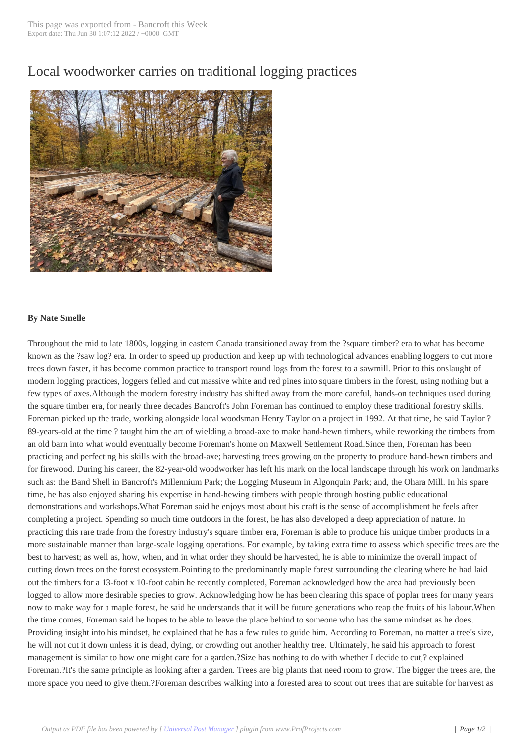## Local woodworker [carries on tra](http://www.bancroftthisweek.com/?p=12010)ditional logging practices



## **By Nate Smelle**

Throughout the mid to late 1800s, logging in eastern Canada transitioned away from the ?square timber? era to what has become known as the ?saw log? era. In order to speed up production and keep up with technological advances enabling loggers to cut more trees down faster, it has become common practice to transport round logs from the forest to a sawmill. Prior to this onslaught of modern logging practices, loggers felled and cut massive white and red pines into square timbers in the forest, using nothing but a few types of axes.Although the modern forestry industry has shifted away from the more careful, hands-on techniques used during the square timber era, for nearly three decades Bancroft's John Foreman has continued to employ these traditional forestry skills. Foreman picked up the trade, working alongside local woodsman Henry Taylor on a project in 1992. At that time, he said Taylor ? 89-years-old at the time ? taught him the art of wielding a broad-axe to make hand-hewn timbers, while reworking the timbers from an old barn into what would eventually become Foreman's home on Maxwell Settlement Road.Since then, Foreman has been practicing and perfecting his skills with the broad-axe; harvesting trees growing on the property to produce hand-hewn timbers and for firewood. During his career, the 82-year-old woodworker has left his mark on the local landscape through his work on landmarks such as: the Band Shell in Bancroft's Millennium Park; the Logging Museum in Algonquin Park; and, the Ohara Mill. In his spare time, he has also enjoyed sharing his expertise in hand-hewing timbers with people through hosting public educational demonstrations and workshops.What Foreman said he enjoys most about his craft is the sense of accomplishment he feels after completing a project. Spending so much time outdoors in the forest, he has also developed a deep appreciation of nature. In practicing this rare trade from the forestry industry's square timber era, Foreman is able to produce his unique timber products in a more sustainable manner than large-scale logging operations. For example, by taking extra time to assess which specific trees are the best to harvest; as well as, how, when, and in what order they should be harvested, he is able to minimize the overall impact of cutting down trees on the forest ecosystem.Pointing to the predominantly maple forest surrounding the clearing where he had laid out the timbers for a 13-foot x 10-foot cabin he recently completed, Foreman acknowledged how the area had previously been logged to allow more desirable species to grow. Acknowledging how he has been clearing this space of poplar trees for many years now to make way for a maple forest, he said he understands that it will be future generations who reap the fruits of his labour.When the time comes, Foreman said he hopes to be able to leave the place behind to someone who has the same mindset as he does. Providing insight into his mindset, he explained that he has a few rules to guide him. According to Foreman, no matter a tree's size, he will not cut it down unless it is dead, dying, or crowding out another healthy tree. Ultimately, he said his approach to forest management is similar to how one might care for a garden.?Size has nothing to do with whether I decide to cut,? explained Foreman.?It's the same principle as looking after a garden. Trees are big plants that need room to grow. The bigger the trees are, the more space you need to give them.?Foreman describes walking into a forested area to scout out trees that are suitable for harvest as